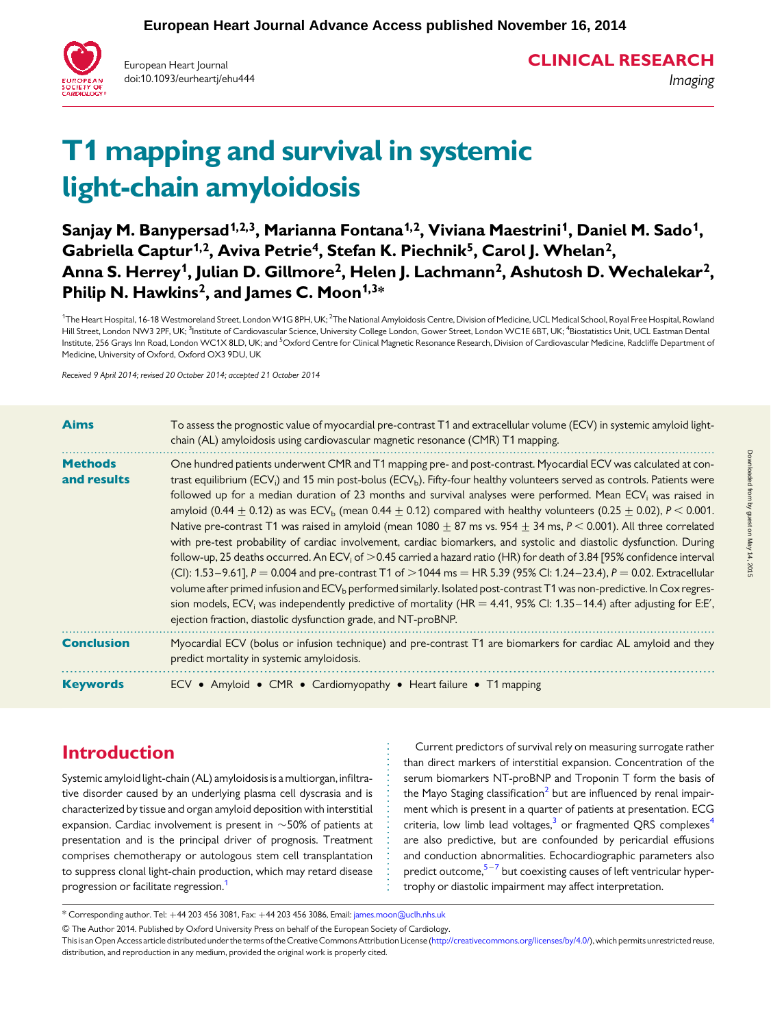

European Heart Journal doi:10.1093/eurheartj/ehu444 CLINICAL RESEARCH

Imaging

Downloaded from by guest on May 14, 2015 by guest on May 14, 2015 Downloaded from

# T1 mapping and survival in systemic light-chain amyloidosis

Sanjay M. Banypersad<sup>1,2,3</sup>, Marianna Fontana<sup>1,2</sup>, Viviana Maestrini<sup>1</sup>, Daniel M. Sado<sup>1</sup>, Gabriella Captur<sup>1,2</sup>, Aviva Petrie<sup>4</sup>, Stefan K. Piechnik<sup>5</sup>, Carol J. Whelan<sup>2</sup>, Anna S. Herrey<sup>1</sup>, Julian D. Gillmore<sup>2</sup>, Helen J. Lachmann<sup>2</sup>, Ashutosh D. Wechalekar<sup>2</sup>, Philip N. Hawkins<sup>2</sup>, and James C. Moon<sup> $1,3*$ </sup>

<sup>1</sup>The Heart Hospital, 16-18 Westmoreland Street, London W1G 8PH, UK; <sup>2</sup>The National Amyloidosis Centre, Division of Medicine, UCL Medical School, Royal Free Hospital, Rowland Hill Street, London NW3 2PF, UK; <sup>3</sup>Institute of Cardiovascular Science, University College London, Gower Street, London WC1E 6BT, UK; <sup>4</sup>Biostatistics Unit, UCL Eastman Dental Institute, 256 Grays Inn Road, London WC1X 8LD, UK; and <sup>5</sup>Oxford Centre for Clinical Magnetic Resonance Research, Division of Cardiovascular Medicine, Radcliffe Department of Medicine, University of Oxford, Oxford OX3 9DU, UK

Received 9 April 2014; revised 20 October 2014; accepted 21 October 2014

| <b>Aims</b>                   | To assess the prognostic value of myocardial pre-contrast T1 and extracellular volume (ECV) in systemic amyloid light-<br>chain (AL) amyloidosis using cardiovascular magnetic resonance (CMR) T1 mapping.                                                                                                                                                                                                                                                                                                                                                                                                                                                                                                                                                                                                                                                                                                                                                                                                                                                                                                                                                                                                                                                                                                                                                                                                   |
|-------------------------------|--------------------------------------------------------------------------------------------------------------------------------------------------------------------------------------------------------------------------------------------------------------------------------------------------------------------------------------------------------------------------------------------------------------------------------------------------------------------------------------------------------------------------------------------------------------------------------------------------------------------------------------------------------------------------------------------------------------------------------------------------------------------------------------------------------------------------------------------------------------------------------------------------------------------------------------------------------------------------------------------------------------------------------------------------------------------------------------------------------------------------------------------------------------------------------------------------------------------------------------------------------------------------------------------------------------------------------------------------------------------------------------------------------------|
| <b>Methods</b><br>and results | One hundred patients underwent CMR and T1 mapping pre- and post-contrast. Myocardial ECV was calculated at con-<br>trast equilibrium (ECV <sub>i</sub> ) and 15 min post-bolus (ECV <sub>b</sub> ). Fifty-four healthy volunteers served as controls. Patients were<br>followed up for a median duration of 23 months and survival analyses were performed. Mean ECV <sub>i</sub> was raised in<br>amyloid (0.44 $\pm$ 0.12) as was ECV <sub>b</sub> (mean 0.44 $\pm$ 0.12) compared with healthy volunteers (0.25 $\pm$ 0.02), P < 0.001.<br>Native pre-contrast T1 was raised in amyloid (mean 1080 $\pm$ 87 ms vs. 954 $\pm$ 34 ms, P < 0.001). All three correlated<br>with pre-test probability of cardiac involvement, cardiac biomarkers, and systolic and diastolic dysfunction. During<br>follow-up, 25 deaths occurred. An ECV <sub>i</sub> of $>$ 0.45 carried a hazard ratio (HR) for death of 3.84 [95% confidence interval<br>(CI): 1.53-9.61], P = 0.004 and pre-contrast T1 of > 1044 ms = HR 5.39 (95% CI: 1.24-23.4), P = 0.02. Extracellular<br>volume after primed infusion and ECV <sub>b</sub> performed similarly. Isolated post-contrast T1 was non-predictive. In Cox regres-<br>sion models, ECV <sub>i</sub> was independently predictive of mortality (HR = 4.41, 95% CI: 1.35–14.4) after adjusting for E:E',<br>ejection fraction, diastolic dysfunction grade, and NT-proBNP. |
| <b>Conclusion</b>             | Myocardial ECV (bolus or infusion technique) and pre-contrast T1 are biomarkers for cardiac AL amyloid and they<br>predict mortality in systemic amyloidosis.                                                                                                                                                                                                                                                                                                                                                                                                                                                                                                                                                                                                                                                                                                                                                                                                                                                                                                                                                                                                                                                                                                                                                                                                                                                |
| <b>Keywords</b>               | ECV . Amyloid . CMR . Cardiomyopathy . Heart failure . T1 mapping                                                                                                                                                                                                                                                                                                                                                                                                                                                                                                                                                                                                                                                                                                                                                                                                                                                                                                                                                                                                                                                                                                                                                                                                                                                                                                                                            |

# Introduction

Systemic amyloid light-chain (AL) amyloidosis is a multiorgan, infiltrative disorder caused by an underlying plasma cell dyscrasia and is characterized by tissue and organ amyloid deposition with interstitial expansion. Cardiac involvement is present in  $\sim$  50% of patients at presentation and is the principal driver of prognosis. Treatment comprises chemotherapy or autologous stem cell transplantation to suppress clonal light-chain production, which may retard disease progression or facilitate regression.<sup>1</sup>

Current predictors of survival rely on measuring surrogate rather than direct markers of interstitial expansion. Concentration of the serum biomarkers NT-proBNP and Troponin T form the basis of the Mayo Staging classification<sup>[2](#page-7-0)</sup> but are influenced by renal impairment which is present in a quarter of patients at presentation. ECG criteria, low limb lead voltages, $3$  or fragmented QRS complexes<sup>[4](#page-7-0)</sup> are also predictive, but are confounded by pericardial effusions and conduction abnormalities. Echocardiographic parameters also predict outcome, $5-7$  $5-7$  $5-7$  but coexisting causes of left ventricular hypertrophy or diastolic impairment may affect interpretation.

& The Author 2014. Published by Oxford University Press on behalf of the European Society of Cardiology.

<sup>\*</sup> Corresponding author. Tel: +44 203 456 3081, Fax: +44 203 456 3086, Email: [james.moon@uclh.nhs.uk](mailto:james.moon@uclh.nhs.uk)

This is an Open Access article distributed under the terms of the Creative Commons Attribution License ([http://creativecommons.org/licenses/by/4.0/\)](http://creativecommons.org/licenses/by/4.0/), which permits unrestricted reuse, distribution, and reproduction in any medium, provided the original work is properly cited.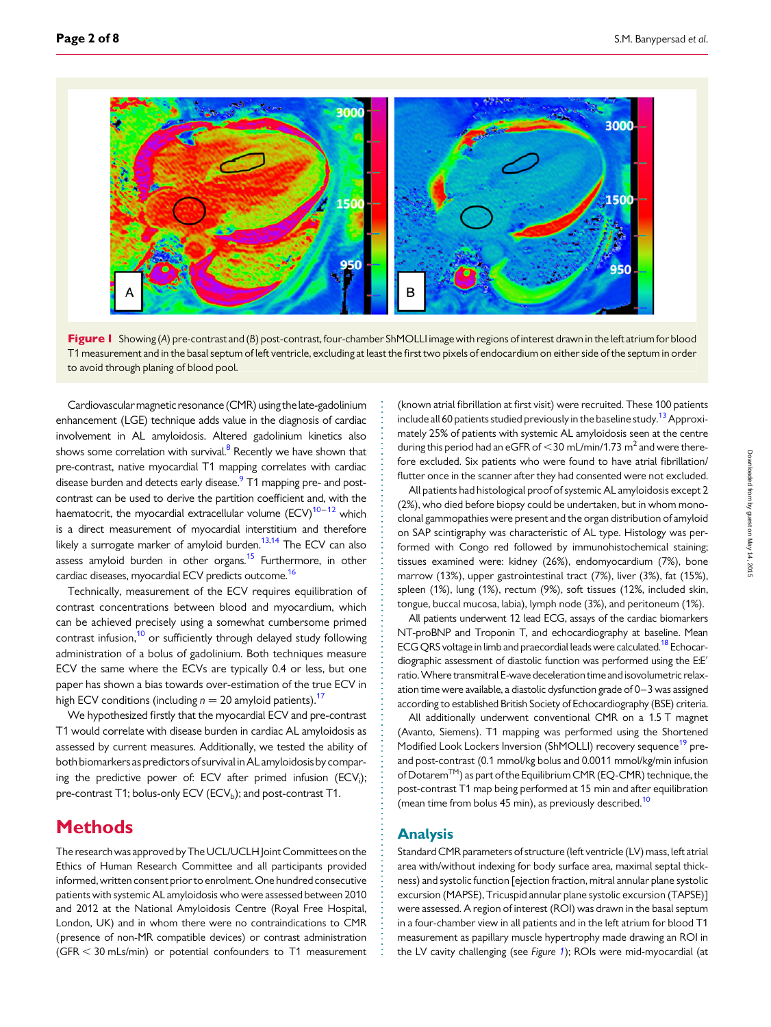<span id="page-1-0"></span>

Figure 1 Showing (A) pre-contrast and (B) post-contrast, four-chamber ShMOLLI image with regions of interest drawn in the left atrium for blood T1 measurement and in the basal septum of left ventricle, excluding at least the first two pixels of endocardium on either side of the septum in order to avoid through planing of blood pool.

Cardiovascularmagnetic resonance (CMR) using the late-gadolinium enhancement (LGE) technique adds value in the diagnosis of cardiac involvement in AL amyloidosis. Altered gadolinium kinetics also shows some correlation with survival.<sup>[8](#page-7-0)</sup> Recently we have shown that pre-contrast, native myocardial T1 mapping correlates with cardiac disease burden and detects early disease.<sup>9</sup> T1 mapping pre- and postcontrast can be used to derive the partition coefficient and, with the haematocrit, the myocardial extracellular volume  $(ECV)^{10-12}$  $(ECV)^{10-12}$  $(ECV)^{10-12}$  which is a direct measurement of myocardial interstitium and therefore likely a surrogate marker of amyloid burden.<sup>[13,14](#page-7-0)</sup> The ECV can also assess amyloid burden in other organs.<sup>15</sup> Furthermore, in other cardiac diseases, myocardial ECV predicts outcome.<sup>16</sup>

Technically, measurement of the ECV requires equilibration of contrast concentrations between blood and myocardium, which can be achieved precisely using a somewhat cumbersome primed contrast infusion,<sup>10</sup> or sufficiently through delayed study following administration of a bolus of gadolinium. Both techniques measure ECV the same where the ECVs are typically 0.4 or less, but one paper has shown a bias towards over-estimation of the true ECV in high ECV conditions (including  $n = 20$  amyloid patients).<sup>17</sup>

We hypothesized firstly that the myocardial ECV and pre-contrast T1 would correlate with disease burden in cardiac AL amyloidosis as assessed by current measures. Additionally, we tested the ability of both biomarkers as predictors of survival inAL amyloidosis by comparing the predictive power of: ECV after primed infusion  $\rm (ECV_i);$ pre-contrast T1; bolus-only ECV ( $ECV<sub>b</sub>$ ); and post-contrast T1.

# **Methods**

The research was approved by The UCL/UCLH Joint Committees on the Ethics of Human Research Committee and all participants provided informed, written consent prior to enrolment. One hundred consecutive patients with systemic AL amyloidosis who were assessed between 2010 and 2012 at the National Amyloidosis Centre (Royal Free Hospital, London, UK) and in whom there were no contraindications to CMR (presence of non-MR compatible devices) or contrast administration  $(GFR < 30$  mLs/min) or potential confounders to T1 measurement

(known atrial fibrillation at first visit) were recruited. These 100 patients include all 60 patients studied previously in the baseline study.<sup>[13](#page-7-0)</sup> Approximately 25% of patients with systemic AL amyloidosis seen at the centre during this period had an eGFR of  $<$ 30 mL/min/1.73 m<sup>2</sup> and were therefore excluded. Six patients who were found to have atrial fibrillation/ flutter once in the scanner after they had consented were not excluded.

All patients had histological proof of systemic AL amyloidosis except 2 (2%), who died before biopsy could be undertaken, but in whom monoclonal gammopathies were present and the organ distribution of amyloid on SAP scintigraphy was characteristic of AL type. Histology was performed with Congo red followed by immunohistochemical staining; tissues examined were: kidney (26%), endomyocardium (7%), bone marrow (13%), upper gastrointestinal tract (7%), liver (3%), fat (15%), spleen (1%), lung (1%), rectum (9%), soft tissues (12%, included skin, tongue, buccal mucosa, labia), lymph node (3%), and peritoneum (1%).

All patients underwent 12 lead ECG, assays of the cardiac biomarkers NT-proBNP and Troponin T, and echocardiography at baseline. Mean ECG QRS voltage in limb and praecordial leads were calculated.<sup>18</sup> Echocardiographic assessment of diastolic function was performed using the E:E′ ratio.Where transmitral E-wave deceleration time and isovolumetric relaxation time were available, a diastolic dysfunction grade of 0–3 was assigned according to established British Society of Echocardiography (BSE) criteria.

All additionally underwent conventional CMR on a 1.5 T magnet (Avanto, Siemens). T1 mapping was performed using the Shortened Modified Look Lockers Inversion (ShMOLLI) recovery sequence<sup>[19](#page-7-0)</sup> preand post-contrast (0.1 mmol/kg bolus and 0.0011 mmol/kg/min infusion of Dotarem<sup>TM</sup>) as part of the Equilibrium CMR (EQ-CMR) technique, the post-contrast T1 map being performed at 15 min and after equilibration (mean time from bolus 45 min), as previously described.<sup>[10](#page-7-0)</sup>

#### Analysis

Standard CMR parameters of structure (left ventricle (LV) mass, left atrial area with/without indexing for body surface area, maximal septal thickness) and systolic function [ejection fraction, mitral annular plane systolic excursion (MAPSE), Tricuspid annular plane systolic excursion (TAPSE)] were assessed. A region of interest (ROI) was drawn in the basal septum in a four-chamber view in all patients and in the left atrium for blood T1 measurement as papillary muscle hypertrophy made drawing an ROI in the LV cavity challenging (see Figure 1); ROIs were mid-myocardial (at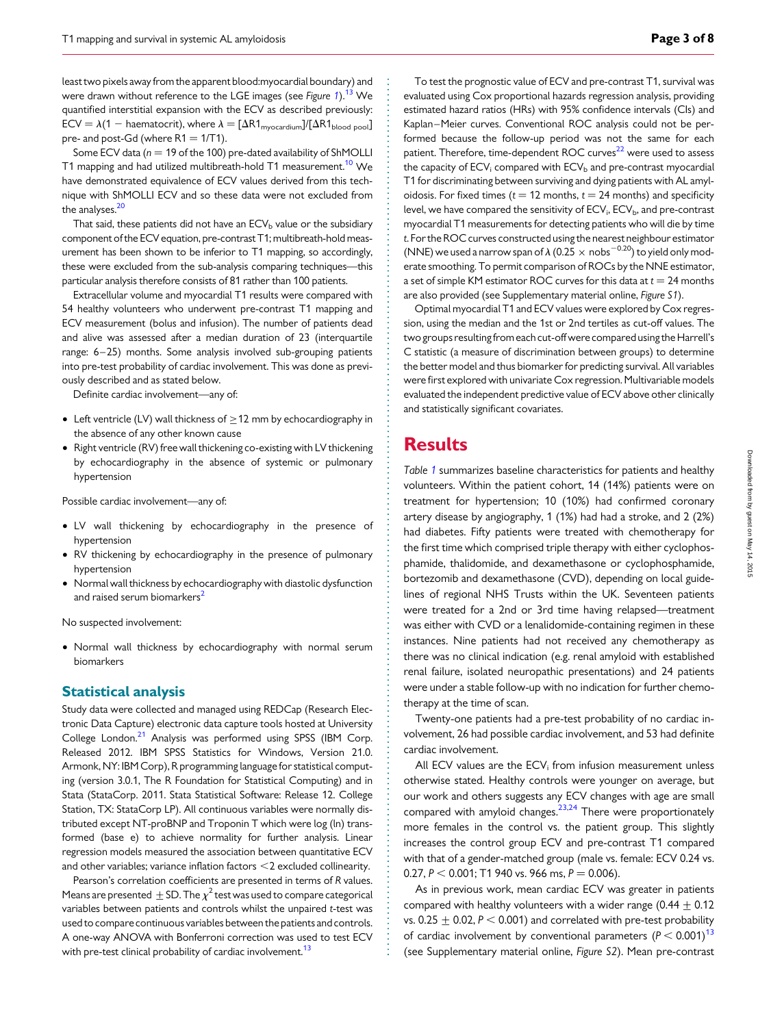least two pixels away from the apparent blood:myocardial boundary) and were drawn without reference to the LGE images (see Figure [1](#page-1-0)).<sup>[13](#page-7-0)</sup> We quantified interstitial expansion with the ECV as described previously:  $ECV = \lambda(1 - \text{haematocrit}),$  where  $\lambda = [\Delta R1_{\text{myocardium}}]/[\Delta R1_{\text{blood pool}}]$ pre- and post-Gd (where  $R1 = 1/T1$ ).

Some ECV data ( $n = 19$  of the 100) pre-dated availability of ShMOLLI T1 mapping and had utilized multibreath-hold T1 measurement.<sup>[10](#page-7-0)</sup> We have demonstrated equivalence of ECV values derived from this technique with ShMOLLI ECV and so these data were not excluded from the analyses.<sup>20</sup>

That said, these patients did not have an  $ECV<sub>b</sub>$  value or the subsidiary component of the ECV equation, pre-contrast T1; multibreath-hold measurement has been shown to be inferior to T1 mapping, so accordingly, these were excluded from the sub-analysis comparing techniques—this particular analysis therefore consists of 81 rather than 100 patients.

Extracellular volume and myocardial T1 results were compared with 54 healthy volunteers who underwent pre-contrast T1 mapping and ECV measurement (bolus and infusion). The number of patients dead and alive was assessed after a median duration of 23 (interquartile range: 6-25) months. Some analysis involved sub-grouping patients into pre-test probability of cardiac involvement. This was done as previously described and as stated below.

Definite cardiac involvement—any of:

- Left ventricle (LV) wall thickness of  $\geq$  12 mm by echocardiography in the absence of any other known cause
- Right ventricle (RV) free wall thickening co-existing with LV thickening by echocardiography in the absence of systemic or pulmonary hypertension

Possible cardiac involvement—any of:

- LV wall thickening by echocardiography in the presence of hypertension
- RV thickening by echocardiography in the presence of pulmonary hypertension
- Normal wall thickness by echocardiography with diastolic dysfunction and raised serum biomarkers<sup>2</sup>

No suspected involvement:

• Normal wall thickness by echocardiography with normal serum biomarkers

#### Statistical analysis

Study data were collected and managed using REDCap (Research Electronic Data Capture) electronic data capture tools hosted at University College London.<sup>[21](#page-7-0)</sup> Analysis was performed using SPSS (IBM Corp. Released 2012. IBM SPSS Statistics for Windows, Version 21.0. Armonk, NY: IBM Corp), R programming language for statistical computing (version 3.0.1, The R Foundation for Statistical Computing) and in Stata (StataCorp. 2011. Stata Statistical Software: Release 12. College Station, TX: StataCorp LP). All continuous variables were normally distributed except NT-proBNP and Troponin T which were log (ln) transformed (base e) to achieve normality for further analysis. Linear regression models measured the association between quantitative ECV and other variables; variance inflation factors  $<$  2 excluded collinearity.

Pearson's correlation coefficients are presented in terms of R values. Means are presented  $\pm$  SD. The  $\chi^2$  test was used to compare categorical variables between patients and controls whilst the unpaired t-test was used to compare continuous variables between the patients and controls. A one-way ANOVA with Bonferroni correction was used to test ECV with pre-test clinical probability of cardiac involvement.<sup>[13](#page-7-0)</sup>

To test the prognostic value of ECV and pre-contrast T1, survival was evaluated using Cox proportional hazards regression analysis, providing estimated hazard ratios (HRs) with 95% confidence intervals (CIs) and Kaplan –Meier curves. Conventional ROC analysis could not be performed because the follow-up period was not the same for each patient. Therefore, time-dependent ROC curves<sup>22</sup> were used to assess the capacity of  $ECV_i$  compared with  $ECV_b$  and pre-contrast myocardial T1 for discriminating between surviving and dying patients with AL amyloidosis. For fixed times ( $t = 12$  months,  $t = 24$  months) and specificity level, we have compared the sensitivity of  $\mathsf{ECV}_{\mathsf{i}}$ ,  $\mathsf{ECV}_{\mathsf{b}}$ , and pre-contrast myocardial T1 measurements for detecting patients who will die by time t. For the ROC curves constructed using the nearest neighbour estimator (NNE) we used a narrow span of  $\lambda$  (0.25  $\times$  nobs<sup>-0.20</sup>) to yield only moderate smoothing. To permit comparison of ROCs by the NNE estimator, a set of simple KM estimator ROC curves for this data at  $t = 24$  months are also provided (see [Supplementary material online,](http://eurheartj.oxfordjournals.org/lookup/suppl/doi:10.1093/eurheartj/ehu444/-/DC1) Figure S1).

Optimal myocardial T1 and ECV values were explored by Cox regression, using the median and the 1st or 2nd tertiles as cut-off values. The two groups resultingfrom each cut-off were compared using the Harrell's C statistic (a measure of discrimination between groups) to determine the better model and thus biomarker for predicting survival. All variables were first explored with univariate Cox regression. Multivariable models evaluated the independent predictive value of ECV above other clinically and statistically significant covariates.

## **Results**

Table [1](#page-3-0) summarizes baseline characteristics for patients and healthy volunteers. Within the patient cohort, 14 (14%) patients were on treatment for hypertension; 10 (10%) had confirmed coronary artery disease by angiography, 1 (1%) had had a stroke, and 2 (2%) had diabetes. Fifty patients were treated with chemotherapy for the first time which comprised triple therapy with either cyclophosphamide, thalidomide, and dexamethasone or cyclophosphamide, bortezomib and dexamethasone (CVD), depending on local guidelines of regional NHS Trusts within the UK. Seventeen patients were treated for a 2nd or 3rd time having relapsed—treatment was either with CVD or a lenalidomide-containing regimen in these instances. Nine patients had not received any chemotherapy as there was no clinical indication (e.g. renal amyloid with established renal failure, isolated neuropathic presentations) and 24 patients were under a stable follow-up with no indication for further chemotherapy at the time of scan.

Twenty-one patients had a pre-test probability of no cardiac involvement, 26 had possible cardiac involvement, and 53 had definite cardiac involvement.

All ECV values are the  $ECV_i$  from infusion measurement unless otherwise stated. Healthy controls were younger on average, but our work and others suggests any ECV changes with age are small compared with amyloid changes. $23,24$  There were proportionately more females in the control vs. the patient group. This slightly increases the control group ECV and pre-contrast T1 compared with that of a gender-matched group (male vs. female: ECV 0.24 vs. 0.27,  $P < 0.001$ ; T1 940 vs. 966 ms,  $P = 0.006$ ).

As in previous work, mean cardiac ECV was greater in patients compared with healthy volunteers with a wider range (0.44  $\pm$  0.12 vs.  $0.25 + 0.02$ ,  $P < 0.001$ ) and correlated with pre-test probability of cardiac involvement by conventional parameters  $(P < 0.001)^{13}$ (see [Supplementary material online,](http://eurheartj.oxfordjournals.org/lookup/suppl/doi:10.1093/eurheartj/ehu444/-/DC1) Figure S2). Mean pre-contrast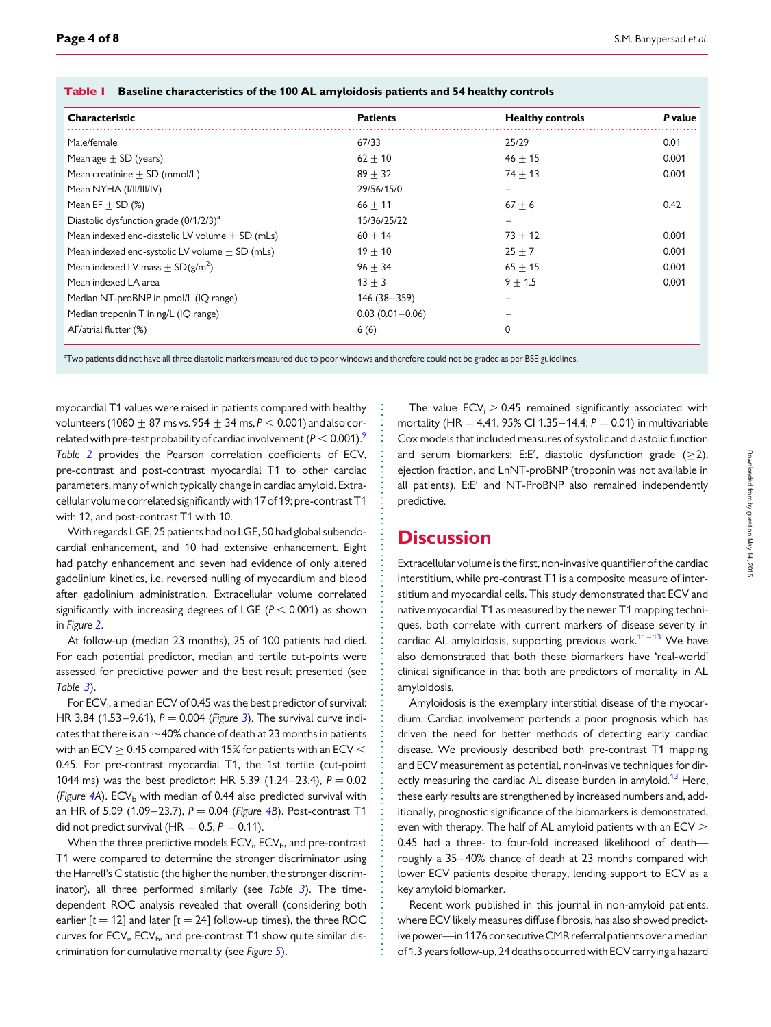| <b>Characteristic</b>                               | <b>Patients</b>     | <b>Healthy controls</b> | P value |
|-----------------------------------------------------|---------------------|-------------------------|---------|
| Male/female                                         | 67/33               | 25/29                   | 0.01    |
| Mean age $\pm$ SD (years)                           | $62 \pm 10$         | $46 + 15$               | 0.001   |
| Mean creatinine $\pm$ SD (mmol/L)                   | $89 + 32$           | $74 + 13$               | 0.001   |
| Mean NYHA (I/II/III/IV)                             | 29/56/15/0          |                         |         |
| Mean $EF + SD$ (%)                                  | $66 + 11$           | $67 + 6$                | 0.42    |
| Diastolic dysfunction grade (0/1/2/3) <sup>a</sup>  | 15/36/25/22         |                         |         |
| Mean indexed end-diastolic LV volume $\pm$ SD (mLs) | $60 + 14$           | $73 + 12$               | 0.001   |
| Mean indexed end-systolic LV volume $\pm$ SD (mLs)  | $19 + 10$           | $25 + 7$                | 0.001   |
| Mean indexed LV mass + $SD(g/m^2)$                  | $96 + 34$           | $65 + 15$               | 0.001   |
| Mean indexed LA area                                | $13 + 3$            | $9 + 1.5$               | 0.001   |
| Median NT-proBNP in pmol/L (IQ range)               | $146(38 - 359)$     |                         |         |
| Median troponin T in ng/L (IQ range)                | $0.03(0.01 - 0.06)$ |                         |         |
| AF/atrial flutter (%)                               | 6(6)                | 0                       |         |

<span id="page-3-0"></span>

|  | <b>Table 1 – Baseline characteristics of the 100 AL amyloidosis patients and 54 healthy controls</b> |  |  |  |  |
|--|------------------------------------------------------------------------------------------------------|--|--|--|--|
|--|------------------------------------------------------------------------------------------------------|--|--|--|--|

a<br>Two patients did not have all three diastolic markers measured due to poor windows and therefore could not be graded as per BSE guidelines.

myocardial T1 values were raised in patients compared with healthy volunteers (1080  $\pm$  87 ms vs. 954  $\pm$  34 ms, P  $<$  0.001) and also correlated with pre-test probability of cardiac involvement ( $P < 0.001$ ). Table [2](#page-4-0) provides the Pearson correlation coefficients of ECV, pre-contrast and post-contrast myocardial T1 to other cardiac parameters, many of which typically change in cardiac amyloid. Extracellular volume correlated significantly with 17 of 19; pre-contrast T1 with 12, and post-contrast T1 with 10.

With regards LGE, 25 patients had no LGE, 50 had global subendocardial enhancement, and 10 had extensive enhancement. Eight had patchy enhancement and seven had evidence of only altered gadolinium kinetics, i.e. reversed nulling of myocardium and blood after gadolinium administration. Extracellular volume correlated significantly with increasing degrees of LGE ( $P < 0.001$ ) as shown in Figure [2](#page-4-0).

At follow-up (median 23 months), 25 of 100 patients had died. For each potential predictor, median and tertile cut-points were assessed for predictive power and the best result presented (see Table [3](#page-5-0)).

For  $\mathsf{ECV}_{\mathsf{i}}$ , a median  $\mathsf{ECV}$  of 0.45 was the best predictor of survival: HR [3](#page-5-0).84 (1.53-9.61),  $P = 0.004$  (Figure 3). The survival curve indicates that there is an  $\sim$  40% chance of death at 23 months in patients with an ECV  $\geq$  0.45 compared with 15% for patients with an ECV  $<$ 0.45. For pre-contrast myocardial T1, the 1st tertile (cut-point 1044 ms) was the best predictor: HR 5.39 (1.24–23.4),  $P = 0.02$ (Figure [4A](#page-6-0)).  $ECV<sub>b</sub>$  with median of 0.44 also predicted survival with an HR of 5.09 (1.09–23.7),  $P = 0.04$  (Figure [4B](#page-6-0)). Post-contrast T1 did not predict survival (HR =  $0.5$ ,  $P = 0.11$ ).

When the three predictive models  $\mathsf{ECV}_{\mathsf{i}}$ ,  $\mathsf{ECV}_{\mathsf{b}}$ , and pre-contrast T1 were compared to determine the stronger discriminator using the Harrell's C statistic (the higher the number, the stronger discriminator), all three performed similarly (see Table  $3$ ). The timedependent ROC analysis revealed that overall (considering both earlier  $[t = 12]$  and later  $[t = 24]$  follow-up times), the three ROC curves for ECV<sub>i</sub>, ECV<sub>b</sub>, and pre-contrast T1 show quite similar dis-crimination for cumulative mortality (see Figure [5](#page-6-0)).

The value  $ECV_i > 0.45$  remained significantly associated with mortality (HR = 4.41, 95% CI 1.35 – 14.4;  $P = 0.01$ ) in multivariable Cox models that included measures of systolic and diastolic function and serum biomarkers: E:E', diastolic dysfunction grade  $(\geq 2)$ , ejection fraction, and LnNT-proBNP (troponin was not available in all patients). E:E′ and NT-ProBNP also remained independently predictive.

## **Discussion**

Extracellular volume is the first, non-invasive quantifier of the cardiac interstitium, while pre-contrast T1 is a composite measure of interstitium and myocardial cells. This study demonstrated that ECV and native myocardial T1 as measured by the newer T1 mapping techniques, both correlate with current markers of disease severity in cardiac AL amyloidosis, supporting previous work. $11-13$  $11-13$  We have also demonstrated that both these biomarkers have 'real-world' clinical significance in that both are predictors of mortality in AL amyloidosis.

Amyloidosis is the exemplary interstitial disease of the myocardium. Cardiac involvement portends a poor prognosis which has driven the need for better methods of detecting early cardiac disease. We previously described both pre-contrast T1 mapping and ECV measurement as potential, non-invasive techniques for dir-ectly measuring the cardiac AL disease burden in amyloid.<sup>[13](#page-7-0)</sup> Here, these early results are strengthened by increased numbers and, additionally, prognostic significance of the biomarkers is demonstrated, even with therapy. The half of AL amyloid patients with an ECV  $>$ 0.45 had a three- to four-fold increased likelihood of death roughly a 35– 40% chance of death at 23 months compared with lower ECV patients despite therapy, lending support to ECV as a key amyloid biomarker.

Recent work published in this journal in non-amyloid patients, where ECV likely measures diffuse fibrosis, has also showed predictive power—in 1176 consecutiveCMR referral patients over a median of 1.3 years follow-up, 24 deaths occurred with ECV carrying a hazard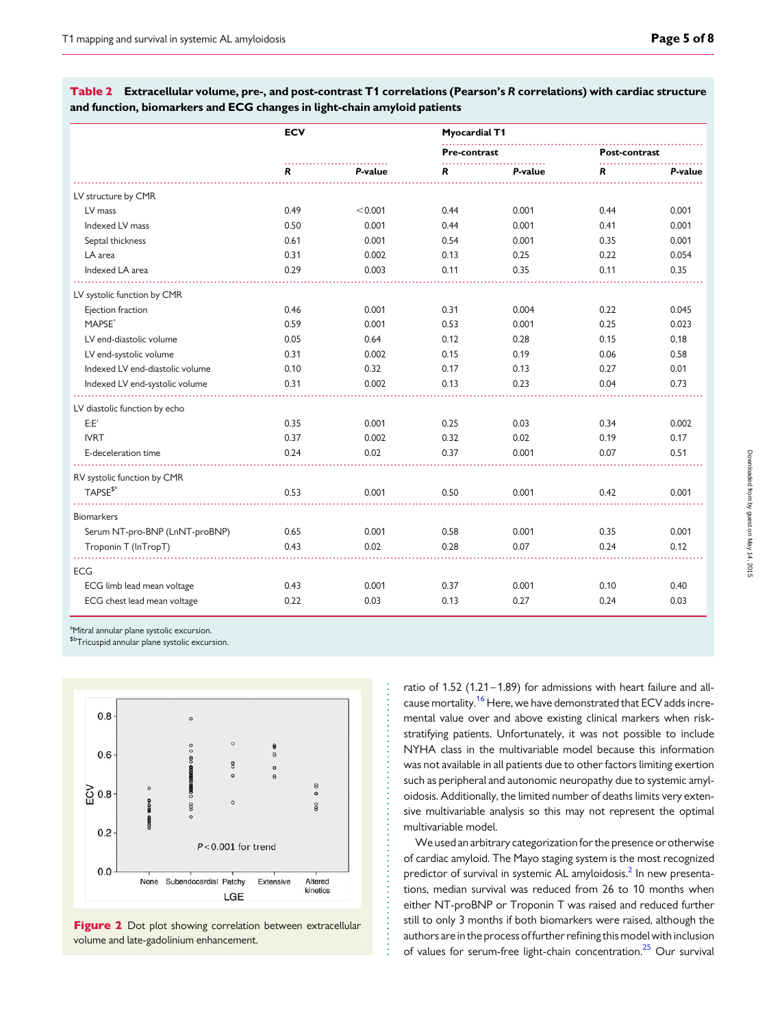<span id="page-4-0"></span>Table 2 Extracellular volume, pre-, and post-contrast T1 correlations (Pearson's R correlations) with cardiac structure and function, biomarkers and ECG changes in light-chain amyloid patients

|                                 | <b>ECV</b> |         | <b>Myocardial T1</b> |         |                      |         |
|---------------------------------|------------|---------|----------------------|---------|----------------------|---------|
|                                 |            |         | Pre-contrast         |         | <b>Post-contrast</b> |         |
|                                 | R          | P-value | R                    | P-value | R                    | P-value |
| LV structure by CMR             |            |         |                      |         |                      |         |
| LV mass                         | 0.49       | < 0.001 | 0.44                 | 0.001   | 0.44                 | 0.001   |
| Indexed LV mass                 | 0.50       | 0.001   | 0.44                 | 0.001   | 0.41                 | 0.001   |
| Septal thickness                | 0.61       | 0.001   | 0.54                 | 0.001   | 0.35                 | 0.001   |
| LA area                         | 0.31       | 0.002   | 0.13                 | 0.25    | 0.22                 | 0.054   |
| Indexed LA area                 | 0.29       | 0.003   | 0.11                 | 0.35    | 0.11                 | 0.35    |
| LV systolic function by CMR     |            |         |                      |         |                      |         |
| Ejection fraction               | 0.46       | 0.001   | 0.31                 | 0.004   | 0.22                 | 0.045   |
| MAPSE <sup>ª</sup>              | 0.59       | 0.001   | 0.53                 | 0.001   | 0.25                 | 0.023   |
| LV end-diastolic volume         | 0.05       | 0.64    | 0.12                 | 0.28    | 0.15                 | 0.18    |
| LV end-systolic volume          | 0.31       | 0.002   | 0.15                 | 0.19    | 0.06                 | 0.58    |
| Indexed LV end-diastolic volume | 0.10       | 0.32    | 0.17                 | 0.13    | 0.27                 | 0.01    |
| Indexed LV end-systolic volume  | 0.31       | 0.002   | 0.13                 | 0.23    | 0.04                 | 0.73    |
|                                 |            |         |                      |         |                      |         |
| LV diastolic function by echo   |            |         |                      |         |                      |         |
| E:E'                            | 0.35       | 0.001   | 0.25                 | 0.03    | 0.34                 | 0.002   |
| <b>IVRT</b>                     | 0.37       | 0.002   | 0.32                 | 0.02    | 0.19                 | 0.17    |
| E-deceleration time             | 0.24       | 0.02    | 0.37                 | 0.001   | 0.07                 | 0.51    |
| RV systolic function by CMR     |            |         |                      |         |                      |         |
| TAPSE <sup>\$b</sup>            | 0.53       | 0.001   | 0.50                 | 0.001   | 0.42                 | 0.001   |
| <b>Biomarkers</b>               |            |         |                      |         |                      |         |
| Serum NT-pro-BNP (LnNT-proBNP)  | 0.65       | 0.001   | 0.58                 | 0.001   | 0.35                 | 0.001   |
| Troponin T (InTropT)            | 0.43       | 0.02    | 0.28                 | 0.07    | 0.24                 | 0.12    |
| <b>ECG</b>                      |            |         |                      |         |                      |         |
| ECG limb lead mean voltage      | 0.43       | 0.001   | 0.37                 | 0.001   | 0.10                 | 0.40    |
| ECG chest lead mean voltage     | 0.22       | 0.03    | 0.13                 | 0.27    | 0.24                 | 0.03    |

<sup>a</sup>Mitral annular plane systolic excursion.

\$bTricuspid annular plane systolic excursion.



Figure 2 Dot plot showing correlation between extracellular volume and late-gadolinium enhancement.

ratio of 1.52 (1.21–1.89) for admissions with heart failure and all-cause mortality.<sup>[16](#page-7-0)</sup> Here, we have demonstrated that ECV adds incremental value over and above existing clinical markers when riskstratifying patients. Unfortunately, it was not possible to include NYHA class in the multivariable model because this information was not available in all patients due to other factors limiting exertion such as peripheral and autonomic neuropathy due to systemic amyloidosis. Additionally, the limited number of deaths limits very extensive multivariable analysis so this may not represent the optimal multivariable model.

We used an arbitrary categorization for the presence or otherwise of cardiac amyloid. The Mayo staging system is the most recognized predictor of survival in systemic AL amyloidosis.<sup>[2](#page-7-0)</sup> In new presentations, median survival was reduced from 26 to 10 months when either NT-proBNP or Troponin T was raised and reduced further still to only 3 months if both biomarkers were raised, although the authors are in the process of further refining this model with inclusion of values for serum-free light-chain concentration.<sup>[25](#page-7-0)</sup> Our survival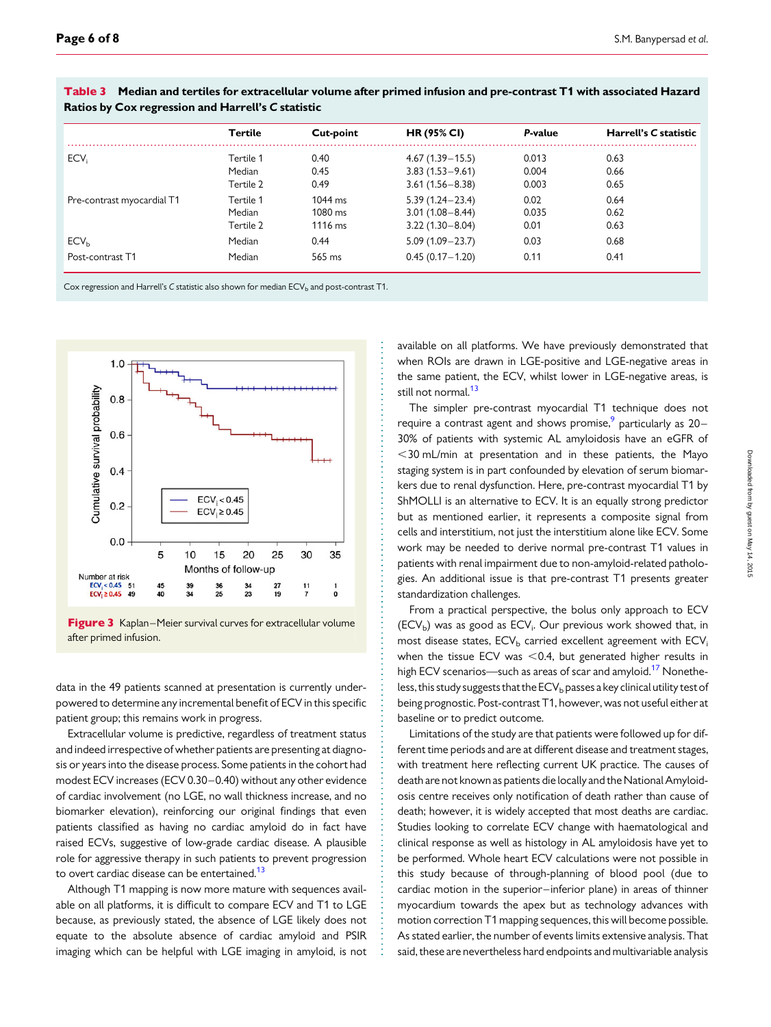|                            | Tertile                          | Cut-point                                           | <b>HR (95% CI)</b>                                                | P-value                 | Harrell's C statistic |
|----------------------------|----------------------------------|-----------------------------------------------------|-------------------------------------------------------------------|-------------------------|-----------------------|
| ECV <sub>i</sub>           | Tertile 1<br>Median<br>Tertile 2 | 0.40<br>0.45<br>0.49                                | $4.67(1.39 - 15.5)$<br>$3.83(1.53 - 9.61)$<br>$3.61(1.56 - 8.38)$ | 0.013<br>0.004<br>0.003 | 0.63<br>0.66<br>0.65  |
| Pre-contrast myocardial T1 | Tertile 1<br>Median<br>Tertile 2 | $1044 \text{ ms}$<br>$1080 \text{ ms}$<br>$1116$ ms | $5.39(1.24 - 23.4)$<br>$3.01(1.08 - 8.44)$<br>$3.22(1.30 - 8.04)$ | 0.02<br>0.035<br>0.01   | 0.64<br>0.62<br>0.63  |
| ECV <sub>h</sub>           | Median                           | 0.44                                                | $5.09(1.09 - 23.7)$                                               | 0.03                    | 0.68                  |
| Post-contrast T1           | Median                           | 565 ms                                              | $0.45(0.17 - 1.20)$                                               | 0.11                    | 0.41                  |

<span id="page-5-0"></span>Table 3 Median and tertiles for extracellular volume after primed infusion and pre-contrast T1 with associated Hazard Ratios by Cox regression and Harrell's C statistic

Cox regression and Harrell's C statistic also shown for median ECV<sub>b</sub> and post-contrast T1.



Figure 3 Kaplan–Meier survival curves for extracellular volume after primed infusion.

data in the 49 patients scanned at presentation is currently underpowered to determine any incremental benefit of ECV in this specific patient group; this remains work in progress.

Extracellular volume is predictive, regardless of treatment status and indeed irrespective of whether patients are presenting at diagnosis or years into the disease process. Some patients in the cohort had modest ECV increases (ECV 0.30–0.40) without any other evidence of cardiac involvement (no LGE, no wall thickness increase, and no biomarker elevation), reinforcing our original findings that even patients classified as having no cardiac amyloid do in fact have raised ECVs, suggestive of low-grade cardiac disease. A plausible role for aggressive therapy in such patients to prevent progression to overt cardiac disease can be entertained.<sup>13</sup>

Although T1 mapping is now more mature with sequences available on all platforms, it is difficult to compare ECV and T1 to LGE because, as previously stated, the absence of LGE likely does not equate to the absolute absence of cardiac amyloid and PSIR imaging which can be helpful with LGE imaging in amyloid, is not

available on all platforms. We have previously demonstrated that when ROIs are drawn in LGE-positive and LGE-negative areas in the same patient, the ECV, whilst lower in LGE-negative areas, is still not normal.<sup>13</sup>

The simpler pre-contrast myocardial T1 technique does not require a contrast agent and shows promise,<sup>[9](#page-7-0)</sup> particularly as 20– 30% of patients with systemic AL amyloidosis have an eGFR of  $<$ 30 mL/min at presentation and in these patients, the Mayo staging system is in part confounded by elevation of serum biomarkers due to renal dysfunction. Here, pre-contrast myocardial T1 by ShMOLLI is an alternative to ECV. It is an equally strong predictor but as mentioned earlier, it represents a composite signal from cells and interstitium, not just the interstitium alone like ECV. Some work may be needed to derive normal pre-contrast T1 values in patients with renal impairment due to non-amyloid-related pathologies. An additional issue is that pre-contrast T1 presents greater standardization challenges.

From a practical perspective, the bolus only approach to ECV  $(ECV_b)$  was as good as  $ECV_i$ . Our previous work showed that, in most disease states,  $ECV<sub>b</sub>$  carried excellent agreement with  $ECV<sub>i</sub>$ when the tissue ECV was  $<$  0.4, but generated higher results in high ECV scenarios—such as areas of scar and amyloid.<sup>[17](#page-7-0)</sup> Nonetheless, this study suggests that the  $ECV_b$  passes a key clinical utility test of being prognostic. Post-contrast T1, however, was not useful either at baseline or to predict outcome.

Limitations of the study are that patients were followed up for different time periods and are at different disease and treatment stages, with treatment here reflecting current UK practice. The causes of death are not known as patients die locally and the National Amyloidosis centre receives only notification of death rather than cause of death; however, it is widely accepted that most deaths are cardiac. Studies looking to correlate ECV change with haematological and clinical response as well as histology in AL amyloidosis have yet to be performed. Whole heart ECV calculations were not possible in this study because of through-planning of blood pool (due to cardiac motion in the superior-inferior plane) in areas of thinner myocardium towards the apex but as technology advances with motion correction T1 mapping sequences, this will become possible. As stated earlier, the number of events limits extensive analysis. That said, these are nevertheless hard endpoints and multivariable analysis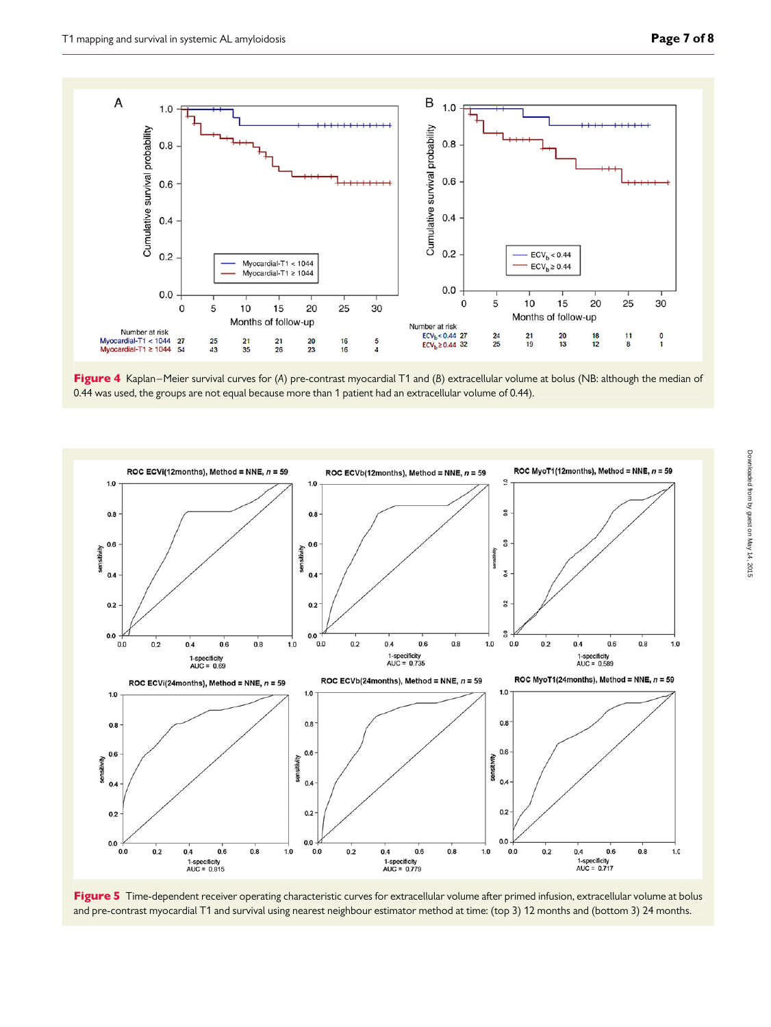<span id="page-6-0"></span>

Figure 4 Kaplan–Meier survival curves for (A) pre-contrast myocardial T1 and (B) extracellular volume at bolus (NB: although the median of 0.44 was used, the groups are not equal because more than 1 patient had an extracellular volume of 0.44).